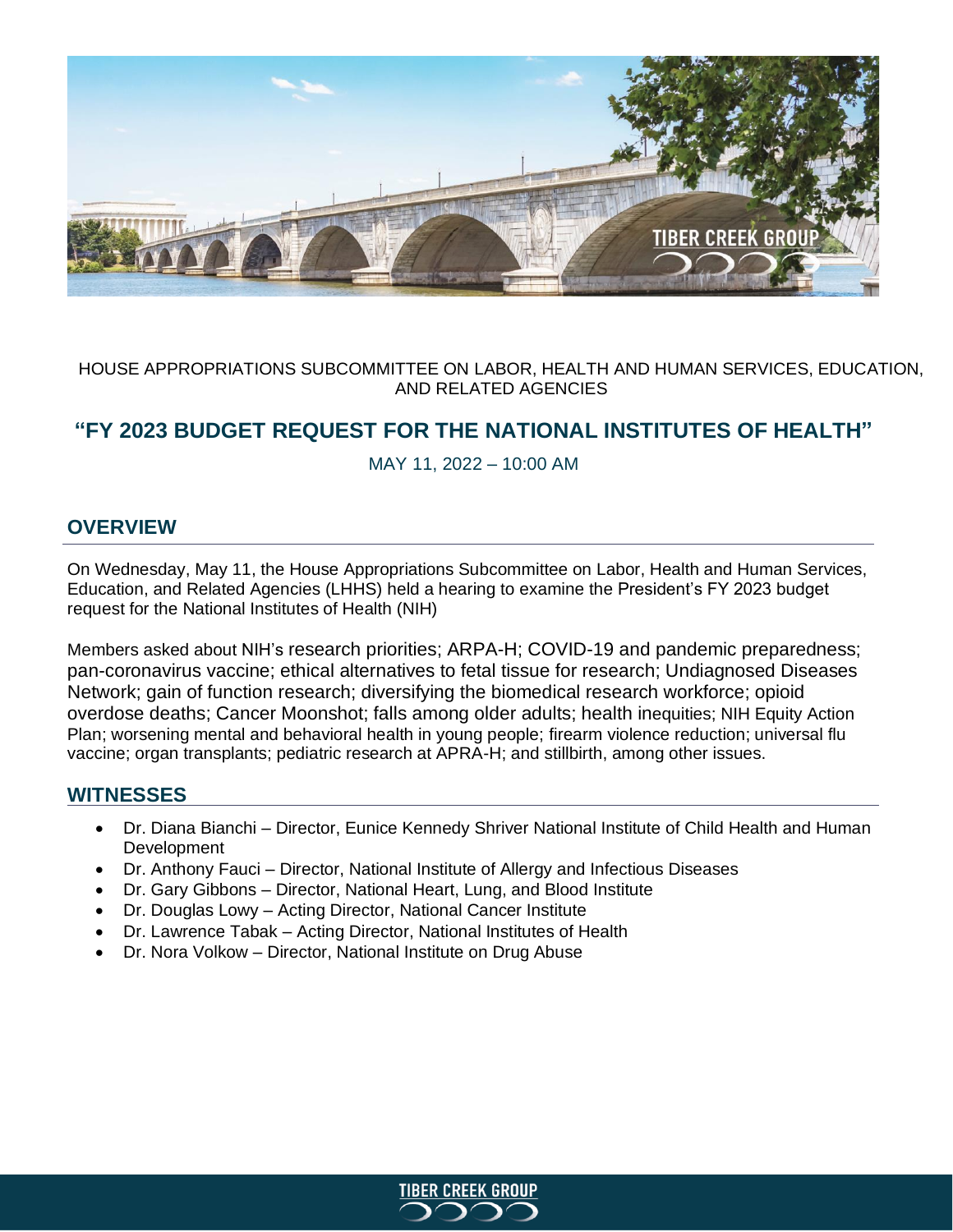

# HOUSE APPROPRIATIONS SUBCOMMITTEE ON LABOR, HEALTH AND HUMAN SERVICES, EDUCATION, AND RELATED AGENCIES

# **"FY 2023 BUDGET REQUEST FOR THE NATIONAL INSTITUTES OF HEALTH"**

MAY 11, 2022 – 10:00 AM

# **OVERVIEW**

On Wednesday, May 11, the House Appropriations Subcommittee on Labor, Health and Human Services, Education, and Related Agencies (LHHS) held a hearing to examine the President's FY 2023 budget request for the National Institutes of Health (NIH)

Members asked about NIH's research priorities; ARPA-H; COVID-19 and pandemic preparedness; pan-coronavirus vaccine; ethical alternatives to fetal tissue for research; Undiagnosed Diseases Network; gain of function research; diversifying the biomedical research workforce; opioid overdose deaths; Cancer Moonshot; falls among older adults; health inequities; NIH Equity Action Plan; worsening mental and behavioral health in young people; firearm violence reduction; universal flu vaccine; organ transplants; pediatric research at APRA-H; and stillbirth, among other issues.

# **WITNESSES**

- Dr. Diana Bianchi Director, Eunice Kennedy Shriver National Institute of Child Health and Human Development
- Dr. Anthony Fauci Director, National Institute of Allergy and Infectious Diseases
- Dr. Gary Gibbons Director, National Heart, Lung, and Blood Institute
- Dr. Douglas Lowy Acting Director, National Cancer Institute
- Dr. Lawrence Tabak Acting Director, National Institutes of Health
- Dr. Nora Volkow Director, National Institute on Drug Abuse

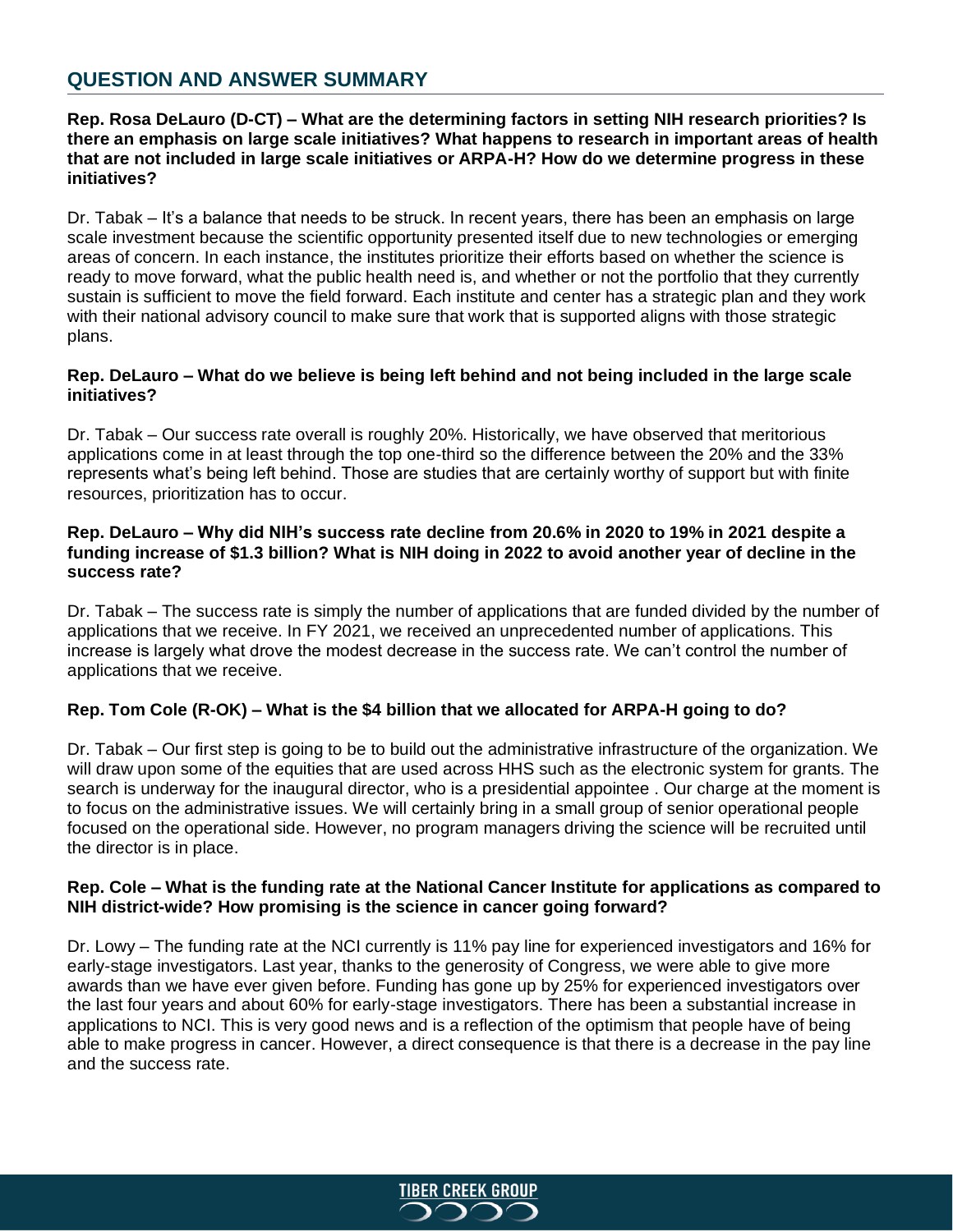# **QUESTION AND ANSWER SUMMARY**

### **Rep. Rosa DeLauro (D-CT) – What are the determining factors in setting NIH research priorities? Is there an emphasis on large scale initiatives? What happens to research in important areas of health that are not included in large scale initiatives or ARPA-H? How do we determine progress in these initiatives?**

Dr. Tabak – It's a balance that needs to be struck. In recent years, there has been an emphasis on large scale investment because the scientific opportunity presented itself due to new technologies or emerging areas of concern. In each instance, the institutes prioritize their efforts based on whether the science is ready to move forward, what the public health need is, and whether or not the portfolio that they currently sustain is sufficient to move the field forward. Each institute and center has a strategic plan and they work with their national advisory council to make sure that work that is supported aligns with those strategic plans.

#### **Rep. DeLauro – What do we believe is being left behind and not being included in the large scale initiatives?**

Dr. Tabak – Our success rate overall is roughly 20%. Historically, we have observed that meritorious applications come in at least through the top one-third so the difference between the 20% and the 33% represents what's being left behind. Those are studies that are certainly worthy of support but with finite resources, prioritization has to occur.

#### **Rep. DeLauro – Why did NIH's success rate decline from 20.6% in 2020 to 19% in 2021 despite a funding increase of \$1.3 billion? What is NIH doing in 2022 to avoid another year of decline in the success rate?**

Dr. Tabak – The success rate is simply the number of applications that are funded divided by the number of applications that we receive. In FY 2021, we received an unprecedented number of applications. This increase is largely what drove the modest decrease in the success rate. We can't control the number of applications that we receive.

# **Rep. Tom Cole (R-OK) – What is the \$4 billion that we allocated for ARPA-H going to do?**

Dr. Tabak – Our first step is going to be to build out the administrative infrastructure of the organization. We will draw upon some of the equities that are used across HHS such as the electronic system for grants. The search is underway for the inaugural director, who is a presidential appointee . Our charge at the moment is to focus on the administrative issues. We will certainly bring in a small group of senior operational people focused on the operational side. However, no program managers driving the science will be recruited until the director is in place.

#### **Rep. Cole – What is the funding rate at the National Cancer Institute for applications as compared to NIH district-wide? How promising is the science in cancer going forward?**

Dr. Lowy – The funding rate at the NCI currently is 11% pay line for experienced investigators and 16% for early-stage investigators. Last year, thanks to the generosity of Congress, we were able to give more awards than we have ever given before. Funding has gone up by 25% for experienced investigators over the last four years and about 60% for early-stage investigators. There has been a substantial increase in applications to NCI. This is very good news and is a reflection of the optimism that people have of being able to make progress in cancer. However, a direct consequence is that there is a decrease in the pay line and the success rate.

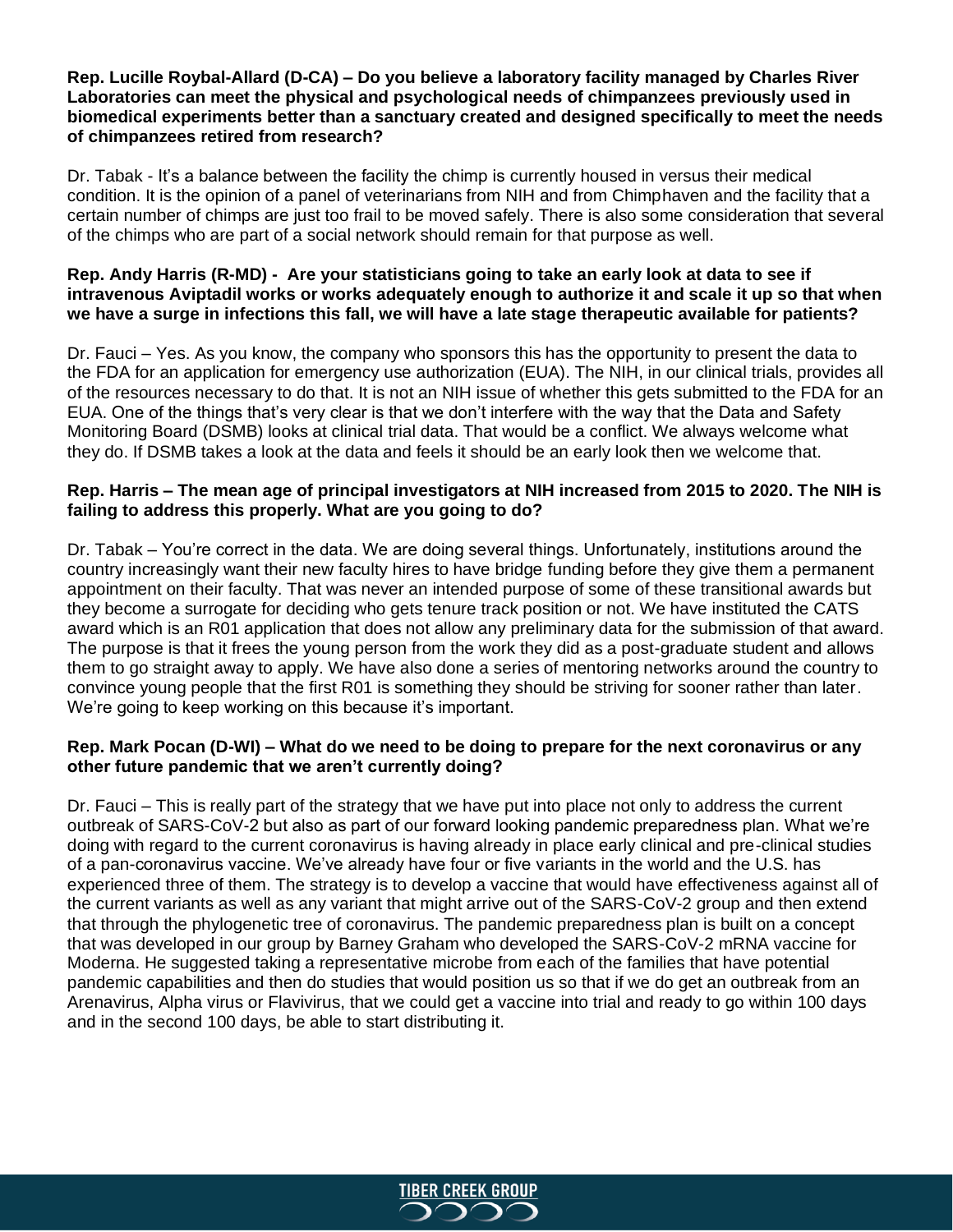## **Rep. Lucille Roybal-Allard (D-CA) – Do you believe a laboratory facility managed by Charles River Laboratories can meet the physical and psychological needs of chimpanzees previously used in biomedical experiments better than a sanctuary created and designed specifically to meet the needs of chimpanzees retired from research?**

Dr. Tabak - It's a balance between the facility the chimp is currently housed in versus their medical condition. It is the opinion of a panel of veterinarians from NIH and from Chimphaven and the facility that a certain number of chimps are just too frail to be moved safely. There is also some consideration that several of the chimps who are part of a social network should remain for that purpose as well.

### **Rep. Andy Harris (R-MD) - Are your statisticians going to take an early look at data to see if intravenous Aviptadil works or works adequately enough to authorize it and scale it up so that when we have a surge in infections this fall, we will have a late stage therapeutic available for patients?**

Dr. Fauci – Yes. As you know, the company who sponsors this has the opportunity to present the data to the FDA for an application for emergency use authorization (EUA). The NIH, in our clinical trials, provides all of the resources necessary to do that. It is not an NIH issue of whether this gets submitted to the FDA for an EUA. One of the things that's very clear is that we don't interfere with the way that the Data and Safety Monitoring Board (DSMB) looks at clinical trial data. That would be a conflict. We always welcome what they do. If DSMB takes a look at the data and feels it should be an early look then we welcome that.

# **Rep. Harris – The mean age of principal investigators at NIH increased from 2015 to 2020. The NIH is failing to address this properly. What are you going to do?**

Dr. Tabak – You're correct in the data. We are doing several things. Unfortunately, institutions around the country increasingly want their new faculty hires to have bridge funding before they give them a permanent appointment on their faculty. That was never an intended purpose of some of these transitional awards but they become a surrogate for deciding who gets tenure track position or not. We have instituted the CATS award which is an R01 application that does not allow any preliminary data for the submission of that award. The purpose is that it frees the young person from the work they did as a post-graduate student and allows them to go straight away to apply. We have also done a series of mentoring networks around the country to convince young people that the first R01 is something they should be striving for sooner rather than later. We're going to keep working on this because it's important.

# **Rep. Mark Pocan (D-WI) – What do we need to be doing to prepare for the next coronavirus or any other future pandemic that we aren't currently doing?**

Dr. Fauci – This is really part of the strategy that we have put into place not only to address the current outbreak of SARS-CoV-2 but also as part of our forward looking pandemic preparedness plan. What we're doing with regard to the current coronavirus is having already in place early clinical and pre-clinical studies of a pan-coronavirus vaccine. We've already have four or five variants in the world and the U.S. has experienced three of them. The strategy is to develop a vaccine that would have effectiveness against all of the current variants as well as any variant that might arrive out of the SARS-CoV-2 group and then extend that through the phylogenetic tree of coronavirus. The pandemic preparedness plan is built on a concept that was developed in our group by Barney Graham who developed the SARS-CoV-2 mRNA vaccine for Moderna. He suggested taking a representative microbe from each of the families that have potential pandemic capabilities and then do studies that would position us so that if we do get an outbreak from an Arenavirus, Alpha virus or Flavivirus, that we could get a vaccine into trial and ready to go within 100 days and in the second 100 days, be able to start distributing it.

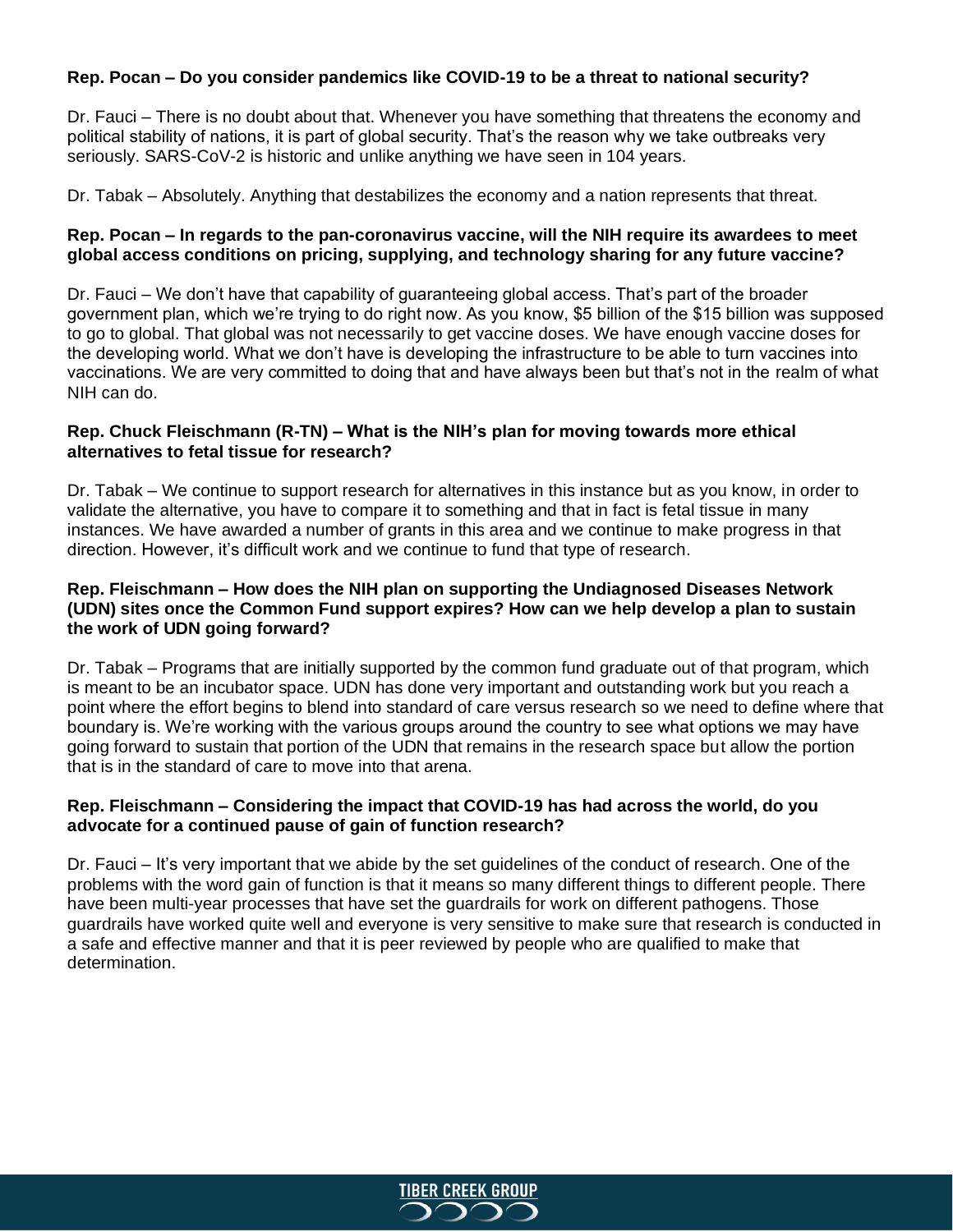# **Rep. Pocan – Do you consider pandemics like COVID-19 to be a threat to national security?**

Dr. Fauci – There is no doubt about that. Whenever you have something that threatens the economy and political stability of nations, it is part of global security. That's the reason why we take outbreaks very seriously. SARS-CoV-2 is historic and unlike anything we have seen in 104 years.

Dr. Tabak – Absolutely. Anything that destabilizes the economy and a nation represents that threat.

## **Rep. Pocan – In regards to the pan-coronavirus vaccine, will the NIH require its awardees to meet global access conditions on pricing, supplying, and technology sharing for any future vaccine?**

Dr. Fauci – We don't have that capability of guaranteeing global access. That's part of the broader government plan, which we're trying to do right now. As you know, \$5 billion of the \$15 billion was supposed to go to global. That global was not necessarily to get vaccine doses. We have enough vaccine doses for the developing world. What we don't have is developing the infrastructure to be able to turn vaccines into vaccinations. We are very committed to doing that and have always been but that's not in the realm of what NIH can do.

## **Rep. Chuck Fleischmann (R-TN) – What is the NIH's plan for moving towards more ethical alternatives to fetal tissue for research?**

Dr. Tabak – We continue to support research for alternatives in this instance but as you know, in order to validate the alternative, you have to compare it to something and that in fact is fetal tissue in many instances. We have awarded a number of grants in this area and we continue to make progress in that direction. However, it's difficult work and we continue to fund that type of research.

## **Rep. Fleischmann – How does the NIH plan on supporting the Undiagnosed Diseases Network (UDN) sites once the Common Fund support expires? How can we help develop a plan to sustain the work of UDN going forward?**

Dr. Tabak – Programs that are initially supported by the common fund graduate out of that program, which is meant to be an incubator space. UDN has done very important and outstanding work but you reach a point where the effort begins to blend into standard of care versus research so we need to define where that boundary is. We're working with the various groups around the country to see what options we may have going forward to sustain that portion of the UDN that remains in the research space but allow the portion that is in the standard of care to move into that arena.

# **Rep. Fleischmann – Considering the impact that COVID-19 has had across the world, do you advocate for a continued pause of gain of function research?**

Dr. Fauci – It's very important that we abide by the set guidelines of the conduct of research. One of the problems with the word gain of function is that it means so many different things to different people. There have been multi-year processes that have set the guardrails for work on different pathogens. Those guardrails have worked quite well and everyone is very sensitive to make sure that research is conducted in a safe and effective manner and that it is peer reviewed by people who are qualified to make that determination.

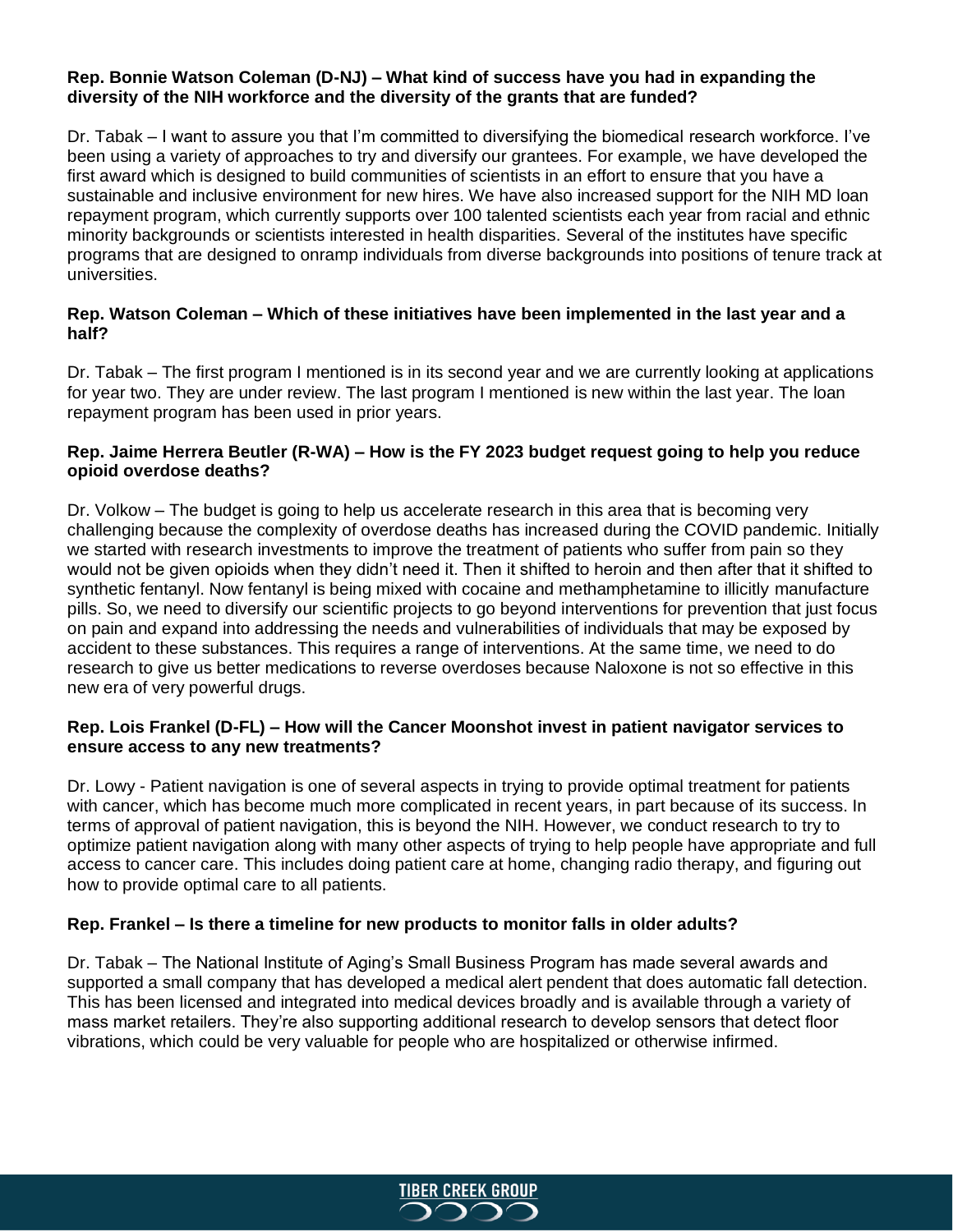## **Rep. Bonnie Watson Coleman (D-NJ) – What kind of success have you had in expanding the diversity of the NIH workforce and the diversity of the grants that are funded?**

Dr. Tabak – I want to assure you that I'm committed to diversifying the biomedical research workforce. I've been using a variety of approaches to try and diversify our grantees. For example, we have developed the first award which is designed to build communities of scientists in an effort to ensure that you have a sustainable and inclusive environment for new hires. We have also increased support for the NIH MD loan repayment program, which currently supports over 100 talented scientists each year from racial and ethnic minority backgrounds or scientists interested in health disparities. Several of the institutes have specific programs that are designed to onramp individuals from diverse backgrounds into positions of tenure track at universities.

# **Rep. Watson Coleman – Which of these initiatives have been implemented in the last year and a half?**

Dr. Tabak – The first program I mentioned is in its second year and we are currently looking at applications for year two. They are under review. The last program I mentioned is new within the last year. The loan repayment program has been used in prior years.

# **Rep. Jaime Herrera Beutler (R-WA) – How is the FY 2023 budget request going to help you reduce opioid overdose deaths?**

Dr. Volkow – The budget is going to help us accelerate research in this area that is becoming very challenging because the complexity of overdose deaths has increased during the COVID pandemic. Initially we started with research investments to improve the treatment of patients who suffer from pain so they would not be given opioids when they didn't need it. Then it shifted to heroin and then after that it shifted to synthetic fentanyl. Now fentanyl is being mixed with cocaine and methamphetamine to illicitly manufacture pills. So, we need to diversify our scientific projects to go beyond interventions for prevention that just focus on pain and expand into addressing the needs and vulnerabilities of individuals that may be exposed by accident to these substances. This requires a range of interventions. At the same time, we need to do research to give us better medications to reverse overdoses because Naloxone is not so effective in this new era of very powerful drugs.

# **Rep. Lois Frankel (D-FL) – How will the Cancer Moonshot invest in patient navigator services to ensure access to any new treatments?**

Dr. Lowy - Patient navigation is one of several aspects in trying to provide optimal treatment for patients with cancer, which has become much more complicated in recent years, in part because of its success. In terms of approval of patient navigation, this is beyond the NIH. However, we conduct research to try to optimize patient navigation along with many other aspects of trying to help people have appropriate and full access to cancer care. This includes doing patient care at home, changing radio therapy, and figuring out how to provide optimal care to all patients.

# **Rep. Frankel – Is there a timeline for new products to monitor falls in older adults?**

Dr. Tabak – The National Institute of Aging's Small Business Program has made several awards and supported a small company that has developed a medical alert pendent that does automatic fall detection. This has been licensed and integrated into medical devices broadly and is available through a variety of mass market retailers. They're also supporting additional research to develop sensors that detect floor vibrations, which could be very valuable for people who are hospitalized or otherwise infirmed.

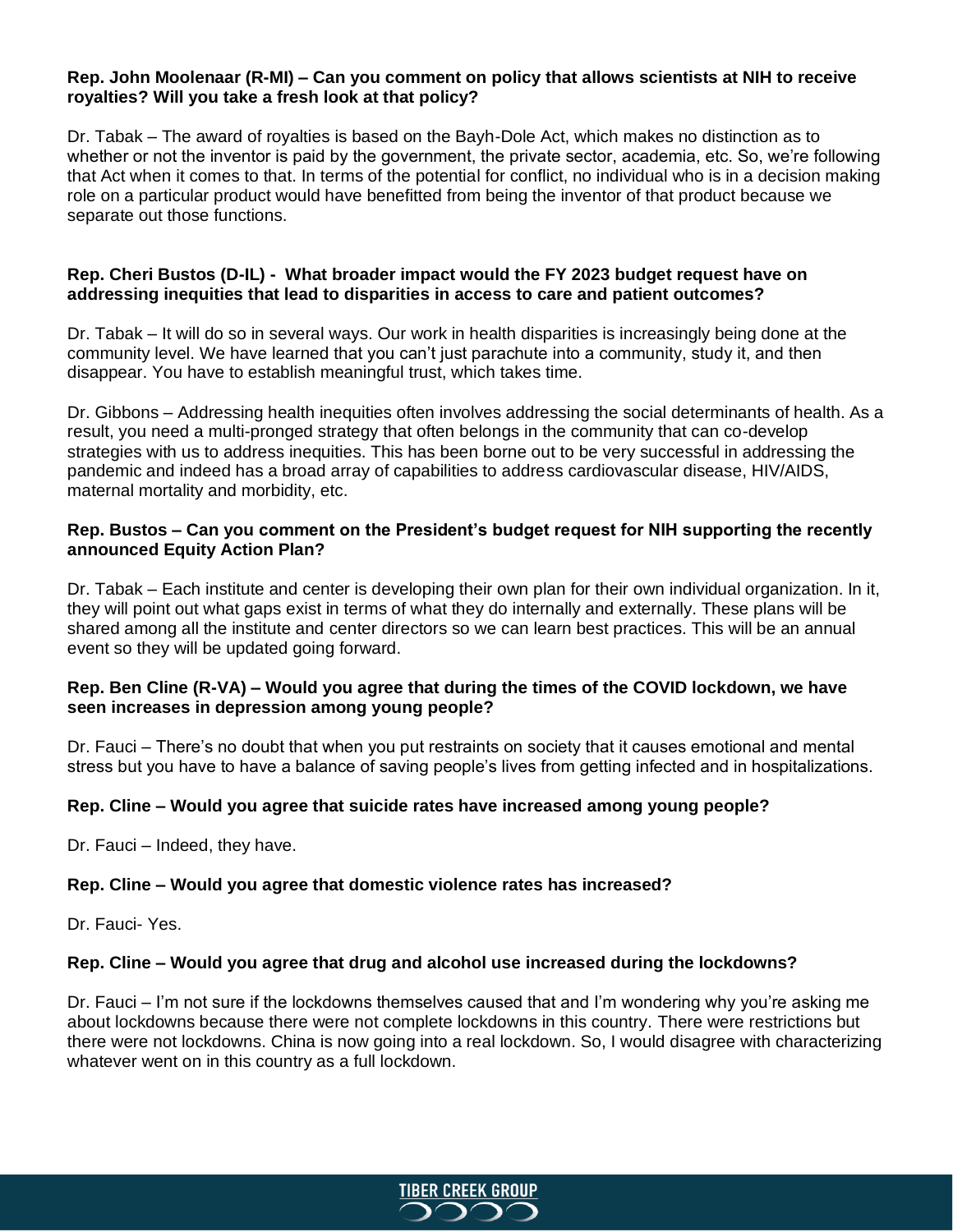#### **Rep. John Moolenaar (R-MI) – Can you comment on policy that allows scientists at NIH to receive royalties? Will you take a fresh look at that policy?**

Dr. Tabak – The award of royalties is based on the Bayh-Dole Act, which makes no distinction as to whether or not the inventor is paid by the government, the private sector, academia, etc. So, we're following that Act when it comes to that. In terms of the potential for conflict, no individual who is in a decision making role on a particular product would have benefitted from being the inventor of that product because we separate out those functions.

# **Rep. Cheri Bustos (D-IL) - What broader impact would the FY 2023 budget request have on addressing inequities that lead to disparities in access to care and patient outcomes?**

Dr. Tabak – It will do so in several ways. Our work in health disparities is increasingly being done at the community level. We have learned that you can't just parachute into a community, study it, and then disappear. You have to establish meaningful trust, which takes time.

Dr. Gibbons – Addressing health inequities often involves addressing the social determinants of health. As a result, you need a multi-pronged strategy that often belongs in the community that can co-develop strategies with us to address inequities. This has been borne out to be very successful in addressing the pandemic and indeed has a broad array of capabilities to address cardiovascular disease, HIV/AIDS, maternal mortality and morbidity, etc.

## **Rep. Bustos – Can you comment on the President's budget request for NIH supporting the recently announced Equity Action Plan?**

Dr. Tabak – Each institute and center is developing their own plan for their own individual organization. In it, they will point out what gaps exist in terms of what they do internally and externally. These plans will be shared among all the institute and center directors so we can learn best practices. This will be an annual event so they will be updated going forward.

#### **Rep. Ben Cline (R-VA) – Would you agree that during the times of the COVID lockdown, we have seen increases in depression among young people?**

Dr. Fauci – There's no doubt that when you put restraints on society that it causes emotional and mental stress but you have to have a balance of saving people's lives from getting infected and in hospitalizations.

# **Rep. Cline – Would you agree that suicide rates have increased among young people?**

Dr. Fauci – Indeed, they have.

# **Rep. Cline – Would you agree that domestic violence rates has increased?**

Dr. Fauci- Yes.

#### **Rep. Cline – Would you agree that drug and alcohol use increased during the lockdowns?**

Dr. Fauci – I'm not sure if the lockdowns themselves caused that and I'm wondering why you're asking me about lockdowns because there were not complete lockdowns in this country. There were restrictions but there were not lockdowns. China is now going into a real lockdown. So, I would disagree with characterizing whatever went on in this country as a full lockdown.

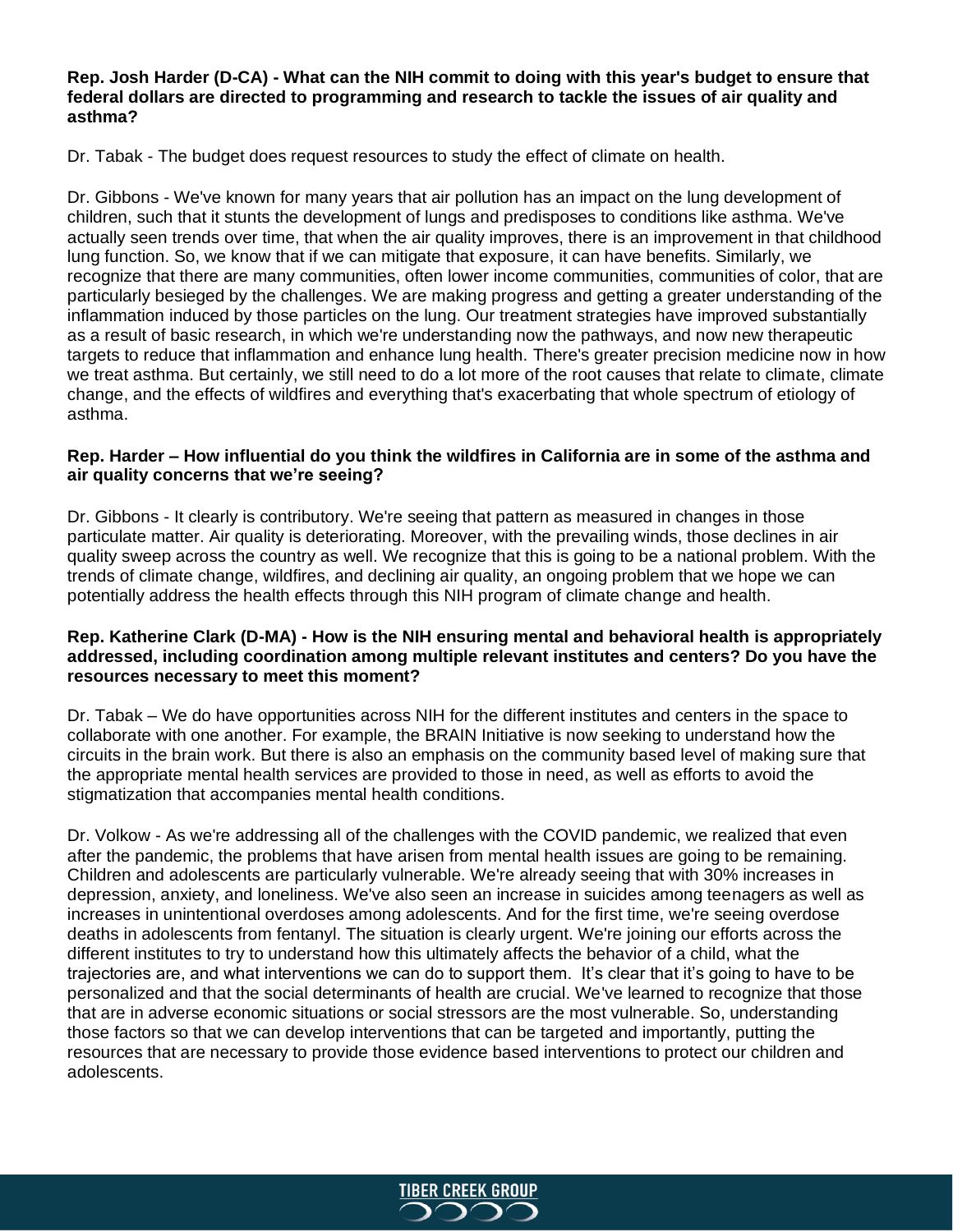#### **Rep. Josh Harder (D-CA) - What can the NIH commit to doing with this year's budget to ensure that federal dollars are directed to programming and research to tackle the issues of air quality and asthma?**

Dr. Tabak - The budget does request resources to study the effect of climate on health.

Dr. Gibbons - We've known for many years that air pollution has an impact on the lung development of children, such that it stunts the development of lungs and predisposes to conditions like asthma. We've actually seen trends over time, that when the air quality improves, there is an improvement in that childhood lung function. So, we know that if we can mitigate that exposure, it can have benefits. Similarly, we recognize that there are many communities, often lower income communities, communities of color, that are particularly besieged by the challenges. We are making progress and getting a greater understanding of the inflammation induced by those particles on the lung. Our treatment strategies have improved substantially as a result of basic research, in which we're understanding now the pathways, and now new therapeutic targets to reduce that inflammation and enhance lung health. There's greater precision medicine now in how we treat asthma. But certainly, we still need to do a lot more of the root causes that relate to climate, climate change, and the effects of wildfires and everything that's exacerbating that whole spectrum of etiology of asthma.

## **Rep. Harder – How influential do you think the wildfires in California are in some of the asthma and air quality concerns that we're seeing?**

Dr. Gibbons - It clearly is contributory. We're seeing that pattern as measured in changes in those particulate matter. Air quality is deteriorating. Moreover, with the prevailing winds, those declines in air quality sweep across the country as well. We recognize that this is going to be a national problem. With the trends of climate change, wildfires, and declining air quality, an ongoing problem that we hope we can potentially address the health effects through this NIH program of climate change and health.

## **Rep. Katherine Clark (D-MA) - How is the NIH ensuring mental and behavioral health is appropriately addressed, including coordination among multiple relevant institutes and centers? Do you have the resources necessary to meet this moment?**

Dr. Tabak – We do have opportunities across NIH for the different institutes and centers in the space to collaborate with one another. For example, the BRAIN Initiative is now seeking to understand how the circuits in the brain work. But there is also an emphasis on the community based level of making sure that the appropriate mental health services are provided to those in need, as well as efforts to avoid the stigmatization that accompanies mental health conditions.

Dr. Volkow - As we're addressing all of the challenges with the COVID pandemic, we realized that even after the pandemic, the problems that have arisen from mental health issues are going to be remaining. Children and adolescents are particularly vulnerable. We're already seeing that with 30% increases in depression, anxiety, and loneliness. We've also seen an increase in suicides among teenagers as well as increases in unintentional overdoses among adolescents. And for the first time, we're seeing overdose deaths in adolescents from fentanyl. The situation is clearly urgent. We're joining our efforts across the different institutes to try to understand how this ultimately affects the behavior of a child, what the trajectories are, and what interventions we can do to support them. It's clear that it's going to have to be personalized and that the social determinants of health are crucial. We've learned to recognize that those that are in adverse economic situations or social stressors are the most vulnerable. So, understanding those factors so that we can develop interventions that can be targeted and importantly, putting the resources that are necessary to provide those evidence based interventions to protect our children and adolescents.

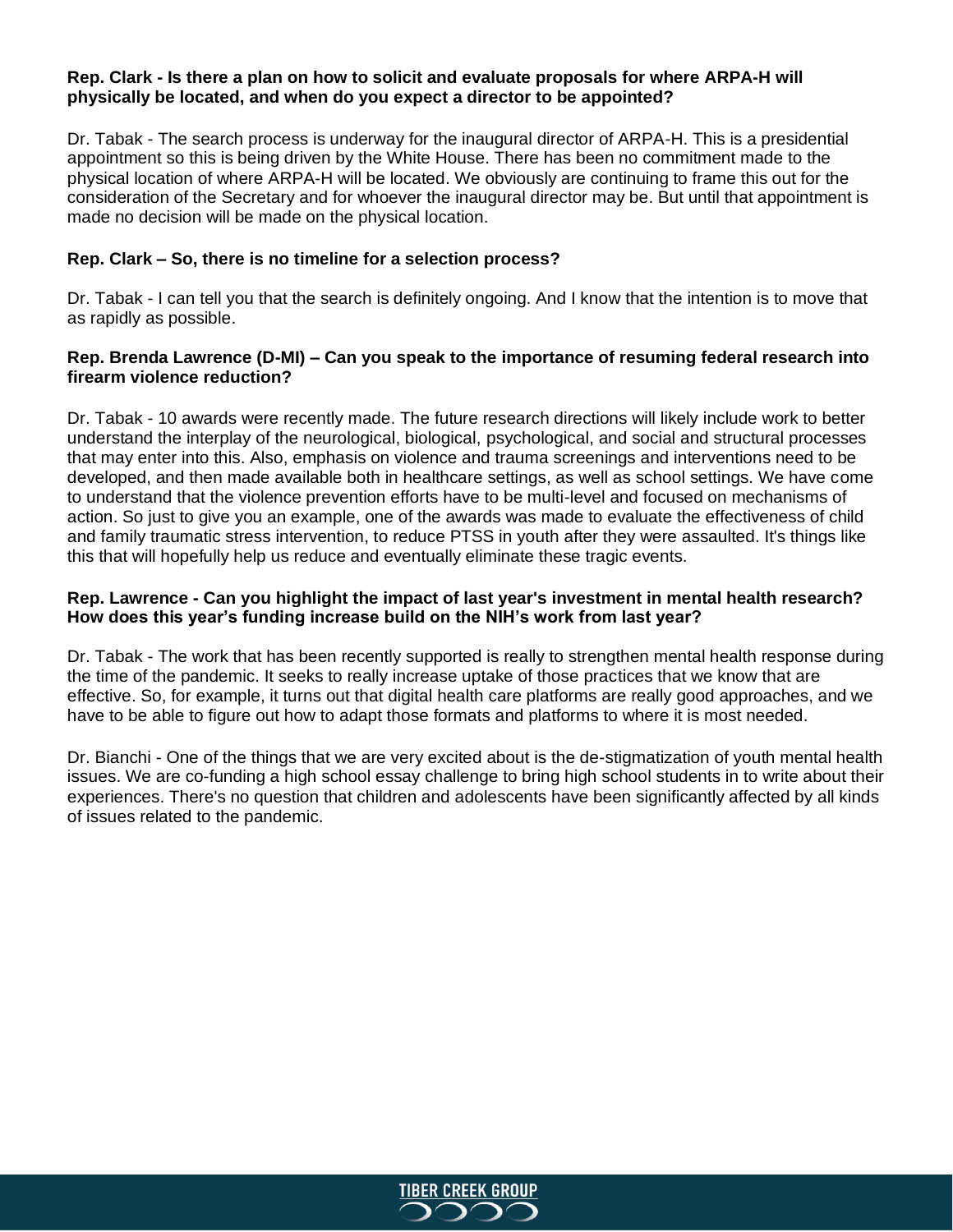#### **Rep. Clark - Is there a plan on how to solicit and evaluate proposals for where ARPA-H will physically be located, and when do you expect a director to be appointed?**

Dr. Tabak - The search process is underway for the inaugural director of ARPA-H. This is a presidential appointment so this is being driven by the White House. There has been no commitment made to the physical location of where ARPA-H will be located. We obviously are continuing to frame this out for the consideration of the Secretary and for whoever the inaugural director may be. But until that appointment is made no decision will be made on the physical location.

## **Rep. Clark – So, there is no timeline for a selection process?**

Dr. Tabak - I can tell you that the search is definitely ongoing. And I know that the intention is to move that as rapidly as possible.

#### **Rep. Brenda Lawrence (D-MI) – Can you speak to the importance of resuming federal research into firearm violence reduction?**

Dr. Tabak - 10 awards were recently made. The future research directions will likely include work to better understand the interplay of the neurological, biological, psychological, and social and structural processes that may enter into this. Also, emphasis on violence and trauma screenings and interventions need to be developed, and then made available both in healthcare settings, as well as school settings. We have come to understand that the violence prevention efforts have to be multi-level and focused on mechanisms of action. So just to give you an example, one of the awards was made to evaluate the effectiveness of child and family traumatic stress intervention, to reduce PTSS in youth after they were assaulted. It's things like this that will hopefully help us reduce and eventually eliminate these tragic events.

## **Rep. Lawrence - Can you highlight the impact of last year's investment in mental health research? How does this year's funding increase build on the NIH's work from last year?**

Dr. Tabak - The work that has been recently supported is really to strengthen mental health response during the time of the pandemic. It seeks to really increase uptake of those practices that we know that are effective. So, for example, it turns out that digital health care platforms are really good approaches, and we have to be able to figure out how to adapt those formats and platforms to where it is most needed.

Dr. Bianchi - One of the things that we are very excited about is the de-stigmatization of youth mental health issues. We are co-funding a high school essay challenge to bring high school students in to write about their experiences. There's no question that children and adolescents have been significantly affected by all kinds of issues related to the pandemic.

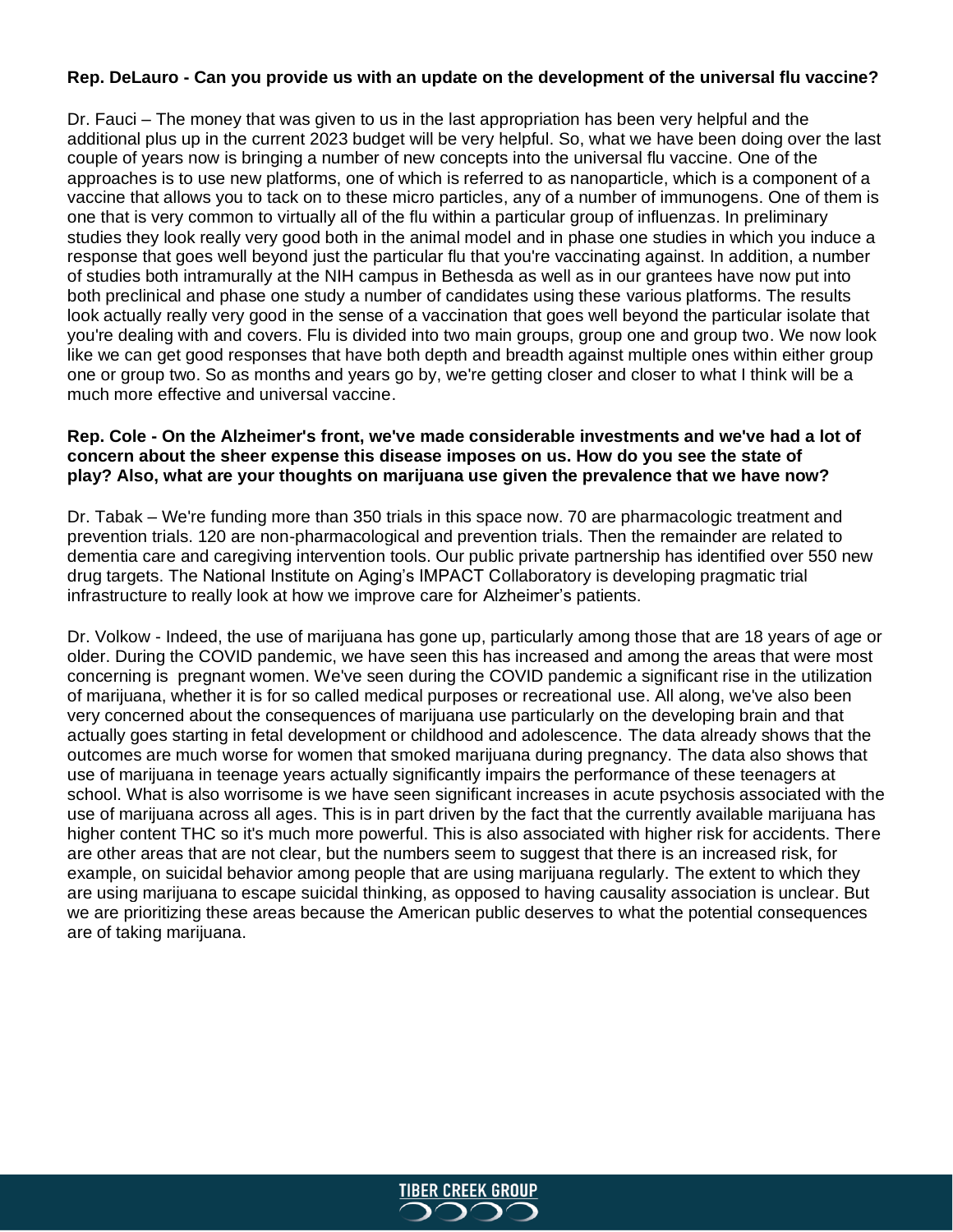# **Rep. DeLauro - Can you provide us with an update on the development of the universal flu vaccine?**

Dr. Fauci – The money that was given to us in the last appropriation has been very helpful and the additional plus up in the current 2023 budget will be very helpful. So, what we have been doing over the last couple of years now is bringing a number of new concepts into the universal flu vaccine. One of the approaches is to use new platforms, one of which is referred to as nanoparticle, which is a component of a vaccine that allows you to tack on to these micro particles, any of a number of immunogens. One of them is one that is very common to virtually all of the flu within a particular group of influenzas. In preliminary studies they look really very good both in the animal model and in phase one studies in which you induce a response that goes well beyond just the particular flu that you're vaccinating against. In addition, a number of studies both intramurally at the NIH campus in Bethesda as well as in our grantees have now put into both preclinical and phase one study a number of candidates using these various platforms. The results look actually really very good in the sense of a vaccination that goes well beyond the particular isolate that you're dealing with and covers. Flu is divided into two main groups, group one and group two. We now look like we can get good responses that have both depth and breadth against multiple ones within either group one or group two. So as months and years go by, we're getting closer and closer to what I think will be a much more effective and universal vaccine.

#### **Rep. Cole - On the Alzheimer's front, we've made considerable investments and we've had a lot of concern about the sheer expense this disease imposes on us. How do you see the state of play? Also, what are your thoughts on marijuana use given the prevalence that we have now?**

Dr. Tabak – We're funding more than 350 trials in this space now. 70 are pharmacologic treatment and prevention trials. 120 are non-pharmacological and prevention trials. Then the remainder are related to dementia care and caregiving intervention tools. Our public private partnership has identified over 550 new drug targets. The National Institute on Aging's IMPACT Collaboratory is developing pragmatic trial infrastructure to really look at how we improve care for Alzheimer's patients.

Dr. Volkow - Indeed, the use of marijuana has gone up, particularly among those that are 18 years of age or older. During the COVID pandemic, we have seen this has increased and among the areas that were most concerning is pregnant women. We've seen during the COVID pandemic a significant rise in the utilization of marijuana, whether it is for so called medical purposes or recreational use. All along, we've also been very concerned about the consequences of marijuana use particularly on the developing brain and that actually goes starting in fetal development or childhood and adolescence. The data already shows that the outcomes are much worse for women that smoked marijuana during pregnancy. The data also shows that use of marijuana in teenage years actually significantly impairs the performance of these teenagers at school. What is also worrisome is we have seen significant increases in acute psychosis associated with the use of marijuana across all ages. This is in part driven by the fact that the currently available marijuana has higher content THC so it's much more powerful. This is also associated with higher risk for accidents. There are other areas that are not clear, but the numbers seem to suggest that there is an increased risk, for example, on suicidal behavior among people that are using marijuana regularly. The extent to which they are using marijuana to escape suicidal thinking, as opposed to having causality association is unclear. But we are prioritizing these areas because the American public deserves to what the potential consequences are of taking marijuana.

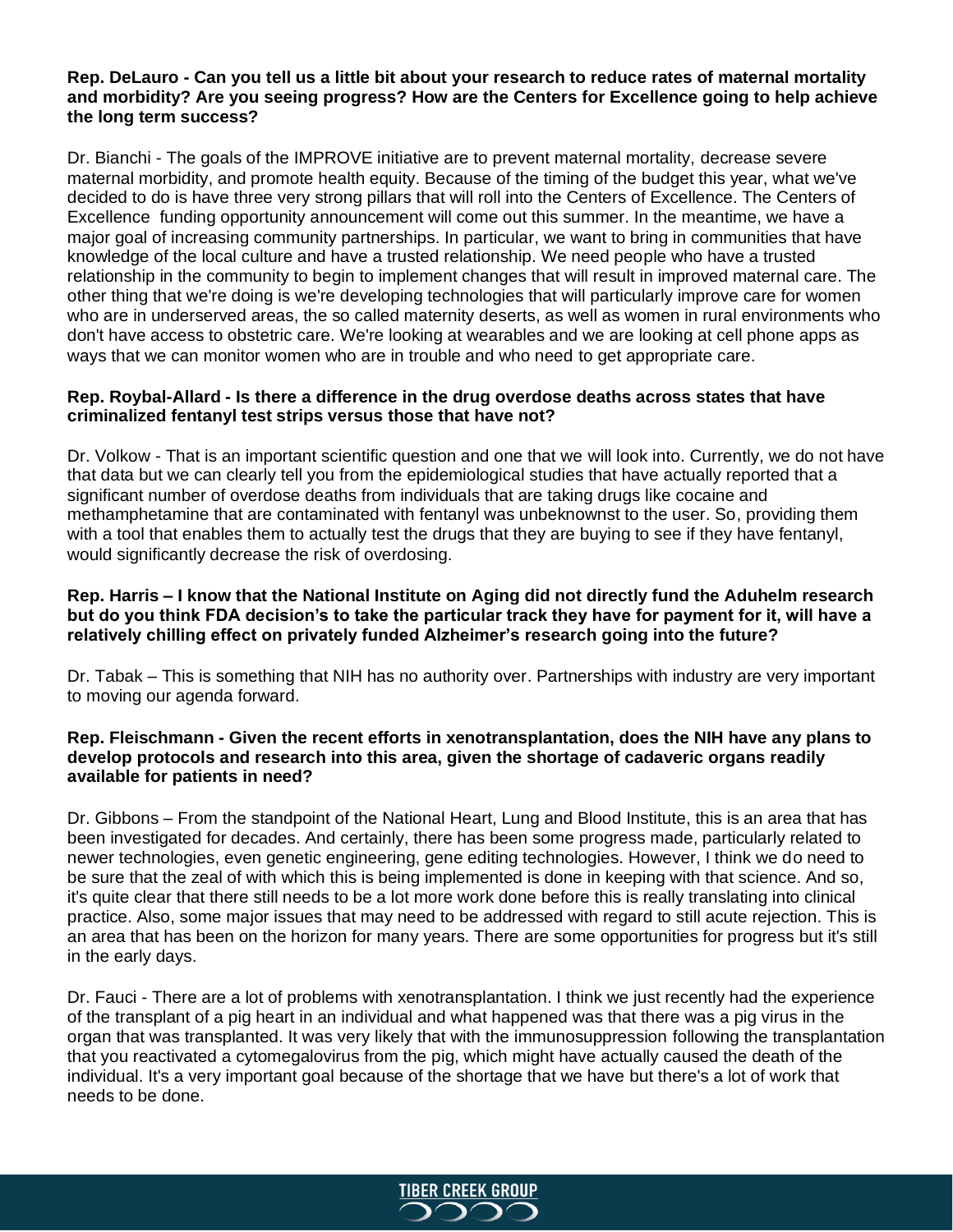### **Rep. DeLauro - Can you tell us a little bit about your research to reduce rates of maternal mortality and morbidity? Are you seeing progress? How are the Centers for Excellence going to help achieve the long term success?**

Dr. Bianchi - The goals of the IMPROVE initiative are to prevent maternal mortality, decrease severe maternal morbidity, and promote health equity. Because of the timing of the budget this year, what we've decided to do is have three very strong pillars that will roll into the Centers of Excellence. The Centers of Excellence funding opportunity announcement will come out this summer. In the meantime, we have a major goal of increasing community partnerships. In particular, we want to bring in communities that have knowledge of the local culture and have a trusted relationship. We need people who have a trusted relationship in the community to begin to implement changes that will result in improved maternal care. The other thing that we're doing is we're developing technologies that will particularly improve care for women who are in underserved areas, the so called maternity deserts, as well as women in rural environments who don't have access to obstetric care. We're looking at wearables and we are looking at cell phone apps as ways that we can monitor women who are in trouble and who need to get appropriate care.

## **Rep. Roybal-Allard - Is there a difference in the drug overdose deaths across states that have criminalized fentanyl test strips versus those that have not?**

Dr. Volkow - That is an important scientific question and one that we will look into. Currently, we do not have that data but we can clearly tell you from the epidemiological studies that have actually reported that a significant number of overdose deaths from individuals that are taking drugs like cocaine and methamphetamine that are contaminated with fentanyl was unbeknownst to the user. So, providing them with a tool that enables them to actually test the drugs that they are buying to see if they have fentanyl, would significantly decrease the risk of overdosing.

## **Rep. Harris – I know that the National Institute on Aging did not directly fund the Aduhelm research but do you think FDA decision's to take the particular track they have for payment for it, will have a relatively chilling effect on privately funded Alzheimer's research going into the future?**

Dr. Tabak – This is something that NIH has no authority over. Partnerships with industry are very important to moving our agenda forward.

## **Rep. Fleischmann - Given the recent efforts in xenotransplantation, does the NIH have any plans to develop protocols and research into this area, given the shortage of cadaveric organs readily available for patients in need?**

Dr. Gibbons – From the standpoint of the National Heart, Lung and Blood Institute, this is an area that has been investigated for decades. And certainly, there has been some progress made, particularly related to newer technologies, even genetic engineering, gene editing technologies. However, I think we do need to be sure that the zeal of with which this is being implemented is done in keeping with that science. And so, it's quite clear that there still needs to be a lot more work done before this is really translating into clinical practice. Also, some major issues that may need to be addressed with regard to still acute rejection. This is an area that has been on the horizon for many years. There are some opportunities for progress but it's still in the early days.

Dr. Fauci - There are a lot of problems with xenotransplantation. I think we just recently had the experience of the transplant of a pig heart in an individual and what happened was that there was a pig virus in the organ that was transplanted. It was very likely that with the immunosuppression following the transplantation that you reactivated a cytomegalovirus from the pig, which might have actually caused the death of the individual. It's a very important goal because of the shortage that we have but there's a lot of work that needs to be done.

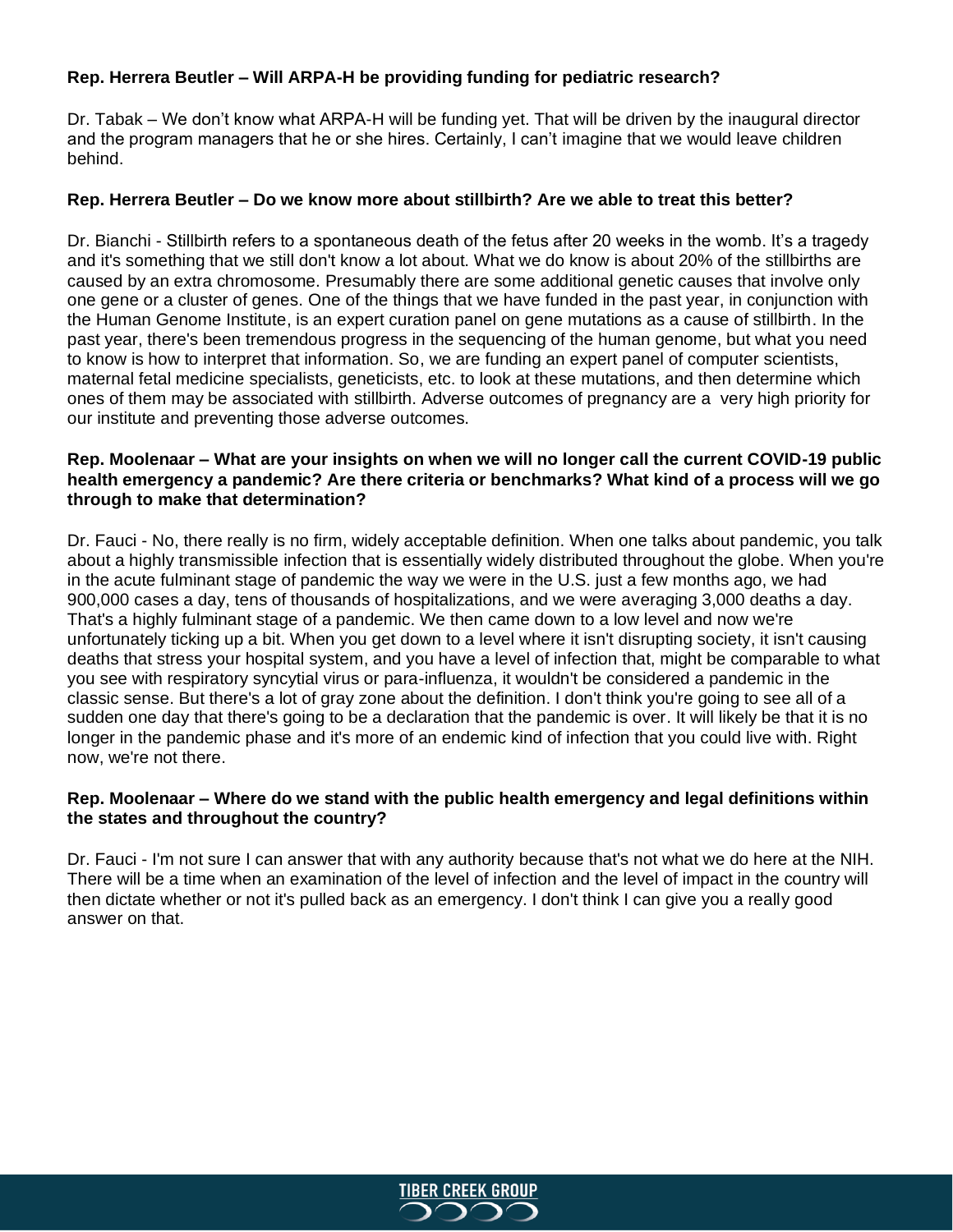# **Rep. Herrera Beutler – Will ARPA-H be providing funding for pediatric research?**

Dr. Tabak – We don't know what ARPA-H will be funding yet. That will be driven by the inaugural director and the program managers that he or she hires. Certainly, I can't imagine that we would leave children behind.

#### **Rep. Herrera Beutler – Do we know more about stillbirth? Are we able to treat this better?**

Dr. Bianchi - Stillbirth refers to a spontaneous death of the fetus after 20 weeks in the womb. It's a tragedy and it's something that we still don't know a lot about. What we do know is about 20% of the stillbirths are caused by an extra chromosome. Presumably there are some additional genetic causes that involve only one gene or a cluster of genes. One of the things that we have funded in the past year, in conjunction with the Human Genome Institute, is an expert curation panel on gene mutations as a cause of stillbirth. In the past year, there's been tremendous progress in the sequencing of the human genome, but what you need to know is how to interpret that information. So, we are funding an expert panel of computer scientists, maternal fetal medicine specialists, geneticists, etc. to look at these mutations, and then determine which ones of them may be associated with stillbirth. Adverse outcomes of pregnancy are a very high priority for our institute and preventing those adverse outcomes.

# **Rep. Moolenaar – What are your insights on when we will no longer call the current COVID-19 public health emergency a pandemic? Are there criteria or benchmarks? What kind of a process will we go through to make that determination?**

Dr. Fauci - No, there really is no firm, widely acceptable definition. When one talks about pandemic, you talk about a highly transmissible infection that is essentially widely distributed throughout the globe. When you're in the acute fulminant stage of pandemic the way we were in the U.S. just a few months ago, we had 900,000 cases a day, tens of thousands of hospitalizations, and we were averaging 3,000 deaths a day. That's a highly fulminant stage of a pandemic. We then came down to a low level and now we're unfortunately ticking up a bit. When you get down to a level where it isn't disrupting society, it isn't causing deaths that stress your hospital system, and you have a level of infection that, might be comparable to what you see with respiratory syncytial virus or para-influenza, it wouldn't be considered a pandemic in the classic sense. But there's a lot of gray zone about the definition. I don't think you're going to see all of a sudden one day that there's going to be a declaration that the pandemic is over. It will likely be that it is no longer in the pandemic phase and it's more of an endemic kind of infection that you could live with. Right now, we're not there.

# **Rep. Moolenaar – Where do we stand with the public health emergency and legal definitions within the states and throughout the country?**

Dr. Fauci - I'm not sure I can answer that with any authority because that's not what we do here at the NIH. There will be a time when an examination of the level of infection and the level of impact in the country will then dictate whether or not it's pulled back as an emergency. I don't think I can give you a really good answer on that.